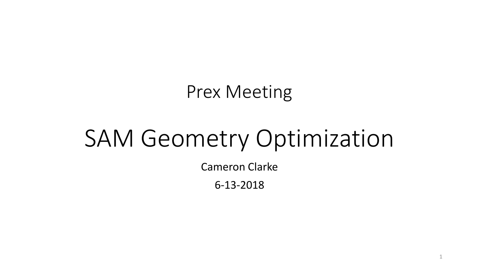## Prex Meeting

# SAM Geometry Optimization

Cameron Clarke

6-13-2018

1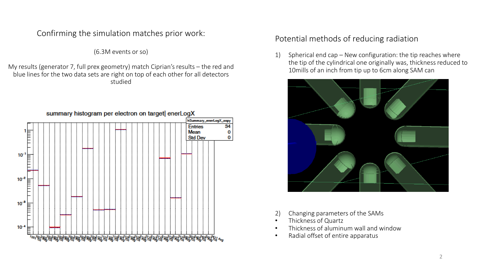Confirming the simulation matches prior work:

(6.3M events or so)

My results (generator 7, full prex geometry) match Ciprian's results – the red and blue lines for the two data sets are right on top of each other for all detectors studied



Potential methods of reducing radiation

1) Spherical end cap – New configuration: the tip reaches where the tip of the cylindrical one originally was, thickness reduced to 10mills of an inch from tip up to 6cm along SAM can



- 2) Changing parameters of the SAMs
- Thickness of Quartz
- Thickness of aluminum wall and window
- Radial offset of entire apparatus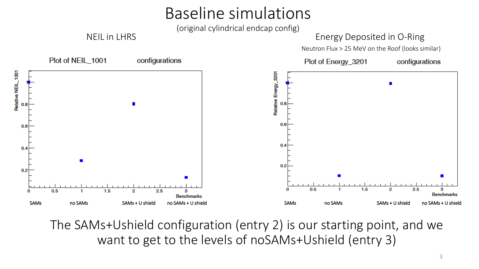## Baseline simulations

(original cylindrical endcap config)

#### NEIL in LHRS Energy Deposited in O-Ring



The SAMs+Ushield configuration (entry 2) is our starting point, and we want to get to the levels of noSAMs+Ushield (entry 3)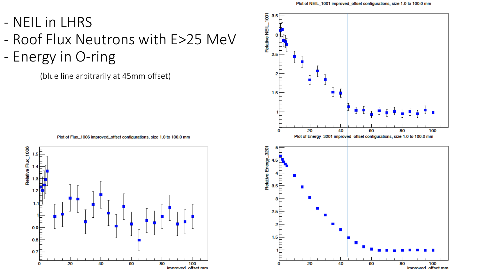- Roof Flux Neutrons with E>25 MeV

- Energy in O-ring

(blue line arbitrarily at 45mm offset)

Plot of Flux\_1006 improved\_offset configurations, size 1.0 to 100.0 mm



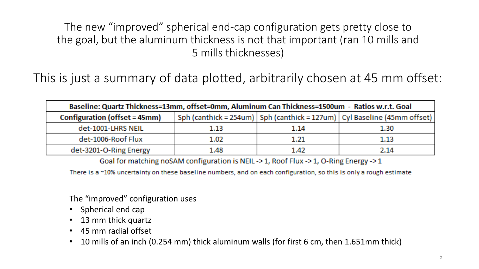The new "improved" spherical end-cap configuration gets pretty close to the goal, but the aluminum thickness is not that important (ran 10 mills and 5 mills thicknesses)

This is just a summary of data plotted, arbitrarily chosen at 45 mm offset:

| Baseline: Quartz Thickness=13mm, offset=0mm, Aluminum Can Thickness=1500um - Ratios w.r.t. Goal |          |      |                                                                              |  |  |  |  |
|-------------------------------------------------------------------------------------------------|----------|------|------------------------------------------------------------------------------|--|--|--|--|
| Configuration (offset = 45mm)                                                                   |          |      | Sph (canthick = 254um)   Sph (canthick = 127um)   Cyl Baseline (45mm offset) |  |  |  |  |
| det-1001-LHRS NEIL                                                                              | $1.13\,$ | 1.14 | 1.30                                                                         |  |  |  |  |
| det-1006-Roof Flux                                                                              | 1.02     | 1.21 | 1.13                                                                         |  |  |  |  |
| det-3201-O-Ring Energy                                                                          | 1.48     | 1.42 | 2.14                                                                         |  |  |  |  |

Goal for matching noSAM configuration is NEIL->1, Roof Flux->1, O-Ring Energy->1

There is a ~10% uncertainty on these baseline numbers, and on each configuration, so this is only a rough estimate

The "improved" configuration uses

- Spherical end cap
- 13 mm thick quartz
- 45 mm radial offset
- 10 mills of an inch (0.254 mm) thick aluminum walls (for first 6 cm, then 1.651mm thick)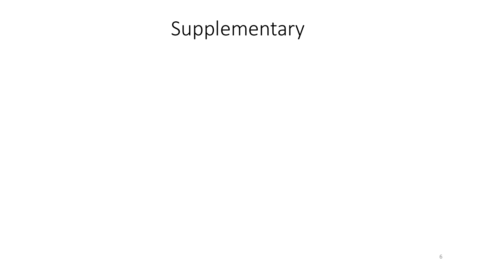# Supplementary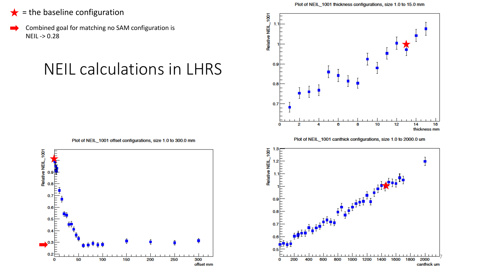- $\bigstar$  = the baseline configuration
- Combined goal for matching no SAM configuration is NEIL -> 0.28

### NEIL calculations in LHRS







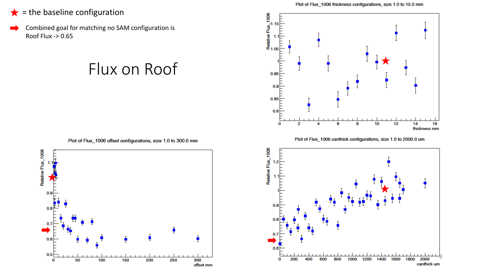- $\bigstar$  = the baseline configuration
- Combined goal for matching no SAM configuration is Roof Flux -> 0.65

#### Flux on Roof



Plot of Flux\_1006 canthick configurations, size 1.0 to 2000.0 um



Plot of Flux\_1006 offset configurations, size 1.0 to 300.0 mm

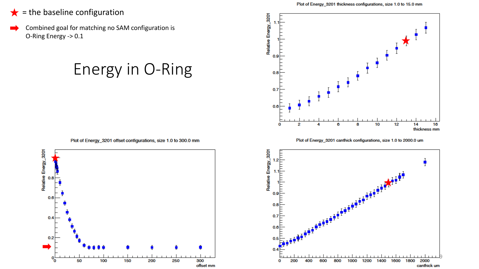#### $\bigstar$  = the baseline configuration

Combined goal for matching no SAM configuration is O-Ring Energy -> 0.1

### Energy in O-Ring



Plot of Energy\_3201 canthick configurations, size 1.0 to 2000.0 um

**b** 



Plot of Energy\_3201 offset configurations, size 1.0 to 300.0 mm

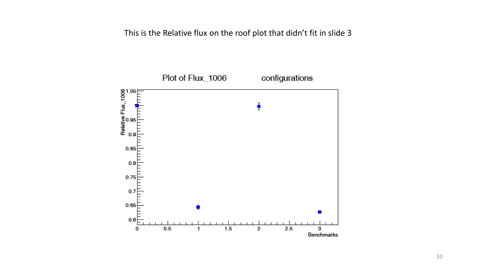This is the Relative flux on the roof plot that didn't fit in slide 3